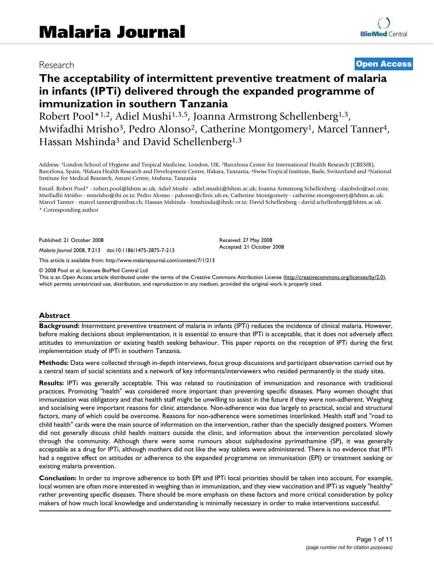# Research **[Open Access](http://www.biomedcentral.com/info/about/charter/)**

# **The acceptability of intermittent preventive treatment of malaria in infants (IPTi) delivered through the expanded programme of immunization in southern Tanzania**

Robert Pool\*1,2, Adiel Mushi1,3,5, Joanna Armstrong Schellenberg1,3, Mwifadhi Mrisho<sup>3</sup>, Pedro Alonso<sup>2</sup>, Catherine Montgomery<sup>1</sup>, Marcel Tanner<sup>4</sup>, Hassan Mshinda<sup>3</sup> and David Schellenberg<sup>1,3</sup>

Address: 1London School of Hygiene and Tropical Medicine, London, UK, 2Barcelona Centre for International Health Research (CRESIB), Barcelona, Spain, 3Ifakara Health Research and Development Centre, Ifakara, Tanzania, 4Swiss Tropical Institute, Basle, Switzerland and 5National Institute for Medical Research, Amani Centre, Muheza, Tanzania

Email: Robert Pool\* - robert.pool@lshtm.ac.uk; Adiel Mushi - adiel.mushi@lshtm.ac.uk; Joanna Armstrong Schellenberg - dajobelo@aol.com; Mwifadhi Mrisho - mmrisho@ihi.or.tz; Pedro Alonso - palonso@clinic.ub.es; Catherine Montgomery - catherine.montgomery@lshtm.ac.uk; Marcel Tanner - marcel.tanner@unibas.ch; Hassan Mshinda - hmshinda@ihrdc.or.tz; David Schellenberg - david.schellenberg@lshtm.ac.uk \* Corresponding author

> Received: 27 May 2008 Accepted: 21 October 2008

Published: 21 October 2008

*Malaria Journal* 2008, **7**:213 doi:10.1186/1475-2875-7-213

[This article is available from: http://www.malariajournal.com/content/7/1/213](http://www.malariajournal.com/content/7/1/213)

© 2008 Pool et al; licensee BioMed Central Ltd.

This is an Open Access article distributed under the terms of the Creative Commons Attribution License [\(http://creativecommons.org/licenses/by/2.0\)](http://creativecommons.org/licenses/by/2.0), which permits unrestricted use, distribution, and reproduction in any medium, provided the original work is properly cited.

#### **Abstract**

**Background:** Intermittent preventive treatment of malaria in infants (IPTi) reduces the incidence of clinical malaria. However, before making decisions about implementation, it is essential to ensure that IPTi is acceptable, that it does not adversely affect attitudes to immunization or existing health seeking behaviour. This paper reports on the reception of IPTi during the first implementation study of IPTi in southern Tanzania.

**Methods:** Data were collected through in-depth interviews, focus group discussions and participant observation carried out by a central team of social scientists and a network of key informants/interviewers who resided permanently in the study sites.

**Results:** IPTi was generally acceptable. This was related to routinization of immunization and resonance with traditional practices. Promoting "health" was considered more important than preventing specific diseases. Many women thought that immunization was obligatory and that health staff might be unwilling to assist in the future if they were non-adherent. Weighing and socialising were important reasons for clinic attendance. Non-adherence was due largely to practical, social and structural factors, many of which could be overcome. Reasons for non-adherence were sometimes interlinked. Health staff and "road to child health" cards were the main source of information on the intervention, rather than the specially designed posters. Women did not generally discuss child health matters outside the clinic, and information about the intervention percolated slowly through the community. Although there were some rumours about sulphadoxine pyrimethamine (SP), it was generally acceptable as a drug for IPTi, although mothers did not like the way tablets were administered. There is no evidence that IPTi had a negative effect on attitudes or adherence to the expanded programme on immunisation (EPI) or treatment seeking or existing malaria prevention.

**Conclusion:** In order to improve adherence to both EPI and IPTi local priorities should be taken into account. For example, local women are often more interested in weighing than in immunization, and they view vaccination and IPTi as vaguely "healthy" rather preventing specific diseases. There should be more emphasis on these factors and more critical consideration by policy makers of how much local knowledge and understanding is minimally necessary in order to make interventions successful.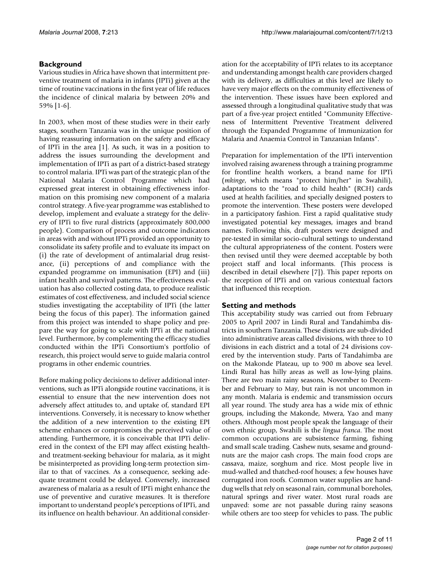# **Background**

Various studies in Africa have shown that intermittent preventive treatment of malaria in infants (IPTi) given at the time of routine vaccinations in the first year of life reduces the incidence of clinical malaria by between 20% and 59% [1-6].

In 2003, when most of these studies were in their early stages, southern Tanzania was in the unique position of having reassuring information on the safety and efficacy of IPTi in the area [1]. As such, it was in a position to address the issues surrounding the development and implementation of IPTi as part of a district-based strategy to control malaria. IPTi was part of the strategic plan of the National Malaria Control Programme which had expressed great interest in obtaining effectiveness information on this promising new component of a malaria control strategy. A five-year programme was established to develop, implement and evaluate a strategy for the delivery of IPTi to five rural districts (approximately 800,000 people). Comparison of process and outcome indicators in areas with and without IPTi provided an opportunity to consolidate its safety profile and to evaluate its impact on (i) the rate of development of antimalarial drug resistance, (ii) perceptions of and compliance with the expanded programme on immunisation (EPI) and (iii) infant health and survival patterns. The effectiveness evaluation has also collected costing data, to produce realistic estimates of cost effectiveness, and included social science studies investigating the acceptability of IPTi (the latter being the focus of this paper). The information gained from this project was intended to shape policy and prepare the way for going to scale with IPTi at the national level. Furthermore, by complementing the efficacy studies conducted within the IPTi Consortium's portfolio of research, this project would serve to guide malaria control programs in other endemic countries.

Before making policy decisions to deliver additional interventions, such as IPTi alongside routine vaccinations, it is essential to ensure that the new intervention does not adversely affect attitudes to, and uptake of, standard EPI interventions. Conversely, it is necessary to know whether the addition of a new intervention to the existing EPI scheme enhances or compromises the perceived value of attending. Furthermore, it is conceivable that IPTi delivered in the context of the EPI may affect existing healthand treatment-seeking behaviour for malaria, as it might be misinterpreted as providing long-term protection similar to that of vaccines. As a consequence, seeking adequate treatment could be delayed. Conversely, increased awareness of malaria as a result of IPTi might enhance the use of preventive and curative measures. It is therefore important to understand people's perceptions of IPTi, and its influence on health behaviour. An additional consideration for the acceptability of IPTi relates to its acceptance and understanding amongst health care providers charged with its delivery, as difficulties at this level are likely to have very major effects on the community effectiveness of the intervention. These issues have been explored and assessed through a longitudinal qualitative study that was part of a five-year project entitled "Community Effectiveness of Intermittent Preventive Treatment delivered through the Expanded Programme of Immunization for Malaria and Anaemia Control in Tanzanian Infants".

Preparation for implementation of the IPTi intervention involved raising awareness through a training programme for frontline health workers, a brand name for IPTi (*mkinge*, which means "protect him/her" in Swahili), adaptations to the "road to child health" (RCH) cards used at health facilities, and specially designed posters to promote the intervention. These posters were developed in a participatory fashion. First a rapid qualitative study investigated potential key messages, images and brand names. Following this, draft posters were designed and pre-tested in similar socio-cultural settings to understand the cultural appropriateness of the content. Posters were then revised until they were deemed acceptable by both project staff and local informants. (This process is described in detail elsewhere [7]). This paper reports on the reception of IPTi and on various contextual factors that influenced this reception.

# **Setting and methods**

This acceptability study was carried out from February 2005 to April 2007 in Lindi Rural and Tandahimba districts in southern Tanzania. These districts are sub-divided into administrative areas called divisions, with three to 10 divisions in each district and a total of 24 divisions covered by the intervention study. Parts of Tandahimba are on the Makonde Plateau, up to 900 m above sea level. Lindi Rural has hilly areas as well as low-lying plains. There are two main rainy seasons, November to December and February to May, but rain is not uncommon in any month. Malaria is endemic and transmission occurs all year round. The study area has a wide mix of ethnic groups, including the Makonde, Mwera, Yao and many others. Although most people speak the language of their own ethnic group, Swahili is the *lingua franca*. The most common occupations are subsistence farming, fishing and small scale trading. Cashew nuts, sesame and groundnuts are the major cash crops. The main food crops are cassava, maize, sorghum and rice. Most people live in mud-walled and thatched-roof houses; a few houses have corrugated iron roofs. Common water supplies are handdug wells that rely on seasonal rain, communal boreholes, natural springs and river water. Most rural roads are unpaved: some are not passable during rainy seasons while others are too steep for vehicles to pass. The public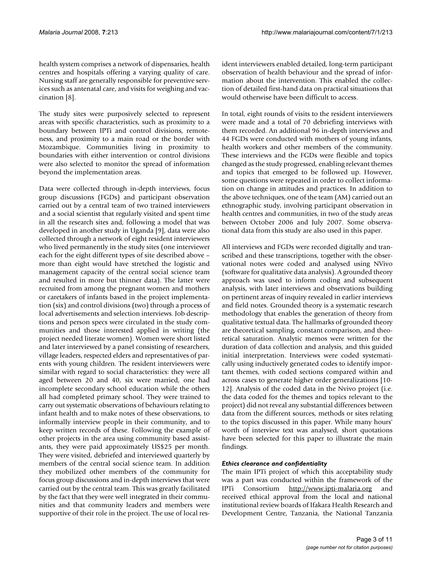health system comprises a network of dispensaries, health centres and hospitals offering a varying quality of care. Nursing staff are generally responsible for preventive services such as antenatal care, and visits for weighing and vaccination [8].

The study sites were purposively selected to represent areas with specific characteristics, such as proximity to a boundary between IPTi and control divisions, remoteness, and proximity to a main road or the border with Mozambique. Communities living in proximity to boundaries with either intervention or control divisions were also selected to monitor the spread of information beyond the implementation areas.

Data were collected through in-depth interviews, focus group discussions (FGDs) and participant observation carried out by a central team of two trained interviewers and a social scientist that regularly visited and spent time in all the research sites and, following a model that was developed in another study in Uganda [9], data were also collected through a network of eight resident interviewers who lived permanently in the study sites (one interviewer each for the eight different types of site described above – more than eight would have stretched the logistic and management capacity of the central social science team and resulted in more but thinner data). The latter were recruited from among the pregnant women and mothers or caretakers of infants based in the project implementation (six) and control divisions (two) through a process of local advertisements and selection interviews. Job descriptions and person specs were circulated in the study communities and those interested applied in writing (the project needed literate women). Women were short listed and later interviewed by a panel consisting of researchers, village leaders, respected elders and representatives of parents with young children. The resident interviewers were similar with regard to social characteristics: they were all aged between 20 and 40, six were married, one had incomplete secondary school education while the others all had completed primary school. They were trained to carry out systematic observations of behaviours relating to infant health and to make notes of these observations, to informally interview people in their community, and to keep written records of these. Following the example of other projects in the area using community based assistants, they were paid approximately US\$25 per month. They were visited, debriefed and interviewed quarterly by members of the central social science team. In addition they mobilized other members of the community for focus group discussions and in-depth interviews that were carried out by the central team. This was greatly facilitated by the fact that they were well integrated in their communities and that community leaders and members were supportive of their role in the project. The use of local resident interviewers enabled detailed, long-term participant observation of health behaviour and the spread of information about the intervention. This enabled the collection of detailed first-hand data on practical situations that would otherwise have been difficult to access.

In total, eight rounds of visits to the resident interviewers were made and a total of 70 debriefing interviews with them recorded. An additional 96 in-depth interviews and 44 FGDs were conducted with mothers of young infants, health workers and other members of the community. These interviews and the FGDs were flexible and topics changed as the study progressed, enabling relevant themes and topics that emerged to be followed up. However, some questions were repeated in order to collect information on change in attitudes and practices. In addition to the above techniques, one of the team (AM) carried out an ethnographic study, involving participant observation in health centres and communities, in two of the study areas between October 2006 and July 2007. Some observational data from this study are also used in this paper.

All interviews and FGDs were recorded digitally and transcribed and these transcriptions, together with the observational notes were coded and analysed using NVivo (software for qualitative data analysis). A grounded theory approach was used to inform coding and subsequent analysis, with later interviews and observations building on pertinent areas of inquiry revealed in earlier interviews and field notes. Grounded theory is a systematic research methodology that enables the generation of theory from qualitative textual data. The hallmarks of grounded theory are theoretical sampling, constant comparison, and theoretical saturation. Analytic memos were written for the duration of data collection and analysis, and this guided initial interpretation. Interviews were coded systematically using inductively generated codes to identify important themes, with coded sections compared within and across cases to generate higher order generalizations [10- 12]. Analysis of the coded data in the Nvivo project (i.e. the data coded for the themes and topics relevant to the project) did not reveal any substantial differences between data from the different sources, methods or sites relating to the topics discussed in this paper. While many hours' worth of interview text was analysed, short quotations have been selected for this paper to illustrate the main findings.

# *Ethics clearance and confidentiality*

The main IPTi project of which this acceptability study was a part was conducted within the framework of the IPTi Consortium <http://www.ipti-malaria.org>and received ethical approval from the local and national institutional review boards of Ifakara Health Research and Development Centre, Tanzania, the National Tanzania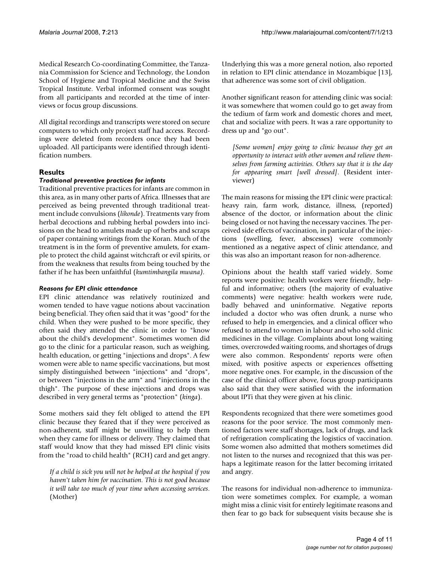Medical Research Co-coordinating Committee, the Tanzania Commission for Science and Technology, the London School of Hygiene and Tropical Medicine and the Swiss Tropical Institute. Verbal informed consent was sought from all participants and recorded at the time of interviews or focus group discussions.

All digital recordings and transcripts were stored on secure computers to which only project staff had access. Recordings were deleted from recorders once they had been uploaded. All participants were identified through identification numbers.

# **Results**

### *Traditional preventive practices for infants*

Traditional preventive practices for infants are common in this area, as in many other parts of Africa. Illnesses that are perceived as being prevented through traditional treatment include convulsions (*likonde*). Treatments vary from herbal decoctions and rubbing herbal powders into incisions on the head to amulets made up of herbs and scraps of paper containing writings from the Koran. Much of the treatment is in the form of preventive amulets, for example to protect the child against witchcraft or evil spirits, or from the weakness that results from being touched by the father if he has been unfaithful (*kumtimbangila mwana).*

# *Reasons for EPI clinic attendance*

EPI clinic attendance was relatively routinized and women tended to have vague notions about vaccination being beneficial. They often said that it was "good" for the child. When they were pushed to be more specific, they often said they attended the clinic in order to "know about the child's development". Sometimes women did go to the clinic for a particular reason, such as weighing, health education, or getting "injections and drops". A few women were able to name specific vaccinations, but most simply distinguished between "injections" and "drops", or between "injections in the arm" and "injections in the thigh". The purpose of these injections and drops was described in very general terms as "protection" (*kinga*).

Some mothers said they felt obliged to attend the EPI clinic because they feared that if they were perceived as non-adherent, staff might be unwilling to help them when they came for illness or delivery. They claimed that staff would know that they had missed EPI clinic visits from the "road to child health" (RCH) card and get angry.

*If a child is sick you will not be helped at the hospital if you haven't taken him for vaccination. This is not good because it will take too much of your time when accessing services*. (Mother)

Underlying this was a more general notion, also reported in relation to EPI clinic attendance in Mozambique [13], that adherence was some sort of civil obligation.

Another significant reason for attending clinic was social: it was somewhere that women could go to get away from the tedium of farm work and domestic chores and meet, chat and socialize with peers. It was a rare opportunity to dress up and "go out".

*[Some women] enjoy going to clinic because they get an opportunity to interact with other women and relieve themselves from farming activities. Others say that it is the day for appearing smart [well dressed]*. (Resident interviewer)

The main reasons for missing the EPI clinic were practical: heavy rain, farm work, distance, illness, (reported) absence of the doctor, or information about the clinic being closed or not having the necessary vaccines. The perceived side effects of vaccination, in particular of the injections (swelling, fever, abscesses) were commonly mentioned as a negative aspect of clinic attendance, and this was also an important reason for non-adherence.

Opinions about the health staff varied widely. Some reports were positive: health workers were friendly, helpful and informative; others (the majority of evaluative comments) were negative: health workers were rude, badly behaved and uninformative. Negative reports included a doctor who was often drunk, a nurse who refused to help in emergencies, and a clinical officer who refused to attend to women in labour and who sold clinic medicines in the village. Complaints about long waiting times, overcrowded waiting rooms, and shortages of drugs were also common. Respondents' reports were often mixed, with positive aspects or experiences offsetting more negative ones. For example, in the discussion of the case of the clinical officer above, focus group participants also said that they were satisfied with the information about IPTi that they were given at his clinic.

Respondents recognized that there were sometimes good reasons for the poor service. The most commonly mentioned factors were staff shortages, lack of drugs, and lack of refrigeration complicating the logistics of vaccination. Some women also admitted that mothers sometimes did not listen to the nurses and recognized that this was perhaps a legitimate reason for the latter becoming irritated and angry.

The reasons for individual non-adherence to immunization were sometimes complex. For example, a woman might miss a clinic visit for entirely legitimate reasons and then fear to go back for subsequent visits because she is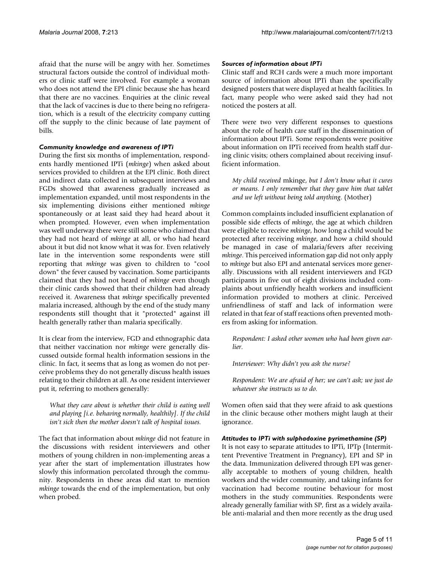afraid that the nurse will be angry with her. Sometimes structural factors outside the control of individual mothers or clinic staff were involved. For example a woman who does not attend the EPI clinic because she has heard that there are no vaccines. Enquiries at the clinic reveal that the lack of vaccines is due to there being no refrigeration, which is a result of the electricity company cutting off the supply to the clinic because of late payment of bills.

### *Community knowledge and awareness of IPTi*

During the first six months of implementation, respondents hardly mentioned IPTi (*mkinge*) when asked about services provided to children at the EPI clinic. Both direct and indirect data collected in subsequent interviews and FGDs showed that awareness gradually increased as implementation expanded, until most respondents in the six implementing divisions either mentioned *mkinge* spontaneously or at least said they had heard about it when prompted. However, even when implementation was well underway there were still some who claimed that they had not heard of *mkinge* at all, or who had heard about it but did not know what it was for. Even relatively late in the intervention some respondents were still reporting that *mkinge* was given to children to "cool down" the fever caused by vaccination. Some participants claimed that they had not heard of *mkinge* even though their clinic cards showed that their children had already received it. Awareness that *mkinge* specifically prevented malaria increased, although by the end of the study many respondents still thought that it "protected" against ill health generally rather than malaria specifically.

It is clear from the interview, FGD and ethnographic data that neither vaccination nor *mkinge* were generally discussed outside formal health information sessions in the clinic. In fact, it seems that as long as women do not perceive problems they do not generally discuss health issues relating to their children at all. As one resident interviewer put it, referring to mothers generally:

*What they care about is whether their child is eating well and playing [i.e. behaving normally, healthily]. If the child isn't sick then the mother doesn't talk of hospital issues.*

The fact that information about *mkinge* did not feature in the discussions with resident interviewers and other mothers of young children in non-implementing areas a year after the start of implementation illustrates how slowly this information percolated through the community. Respondents in these areas did start to mention *mkinge* towards the end of the implementation, but only when probed.

### *Sources of information about IPTi*

Clinic staff and RCH cards were a much more important source of information about IPTi than the specifically designed posters that were displayed at health facilities. In fact, many people who were asked said they had not noticed the posters at all.

There were two very different responses to questions about the role of health care staff in the dissemination of information about IPTi. Some respondents were positive about information on IPTi received from health staff during clinic visits; others complained about receiving insufficient information.

*My child received* mkinge, *but I don't know what it cures or means. I only remember that they gave him that tablet and we left without being told anything*. (Mother)

Common complaints included insufficient explanation of possible side effects of *mkinge*, the age at which children were eligible to receive *mkinge*, how long a child would be protected after receiving *mkinge*, and how a child should be managed in case of malaria/fevers after receiving *mkinge*. This perceived information gap did not only apply to *mkinge* but also EPI and antenatal services more generally. Discussions with all resident interviewers and FGD participants in five out of eight divisions included complaints about unfriendly health workers and insufficient information provided to mothers at clinic. Perceived unfriendliness of staff and lack of information were related in that fear of staff reactions often prevented mothers from asking for information.

*Respondent: I asked other women who had been given earlier.*

*Interviewer: Why didn't you ask the nurse?*

*Respondent: We are afraid of her; we can't ask; we just do whatever she instructs us to do.*

Women often said that they were afraid to ask questions in the clinic because other mothers might laugh at their ignorance.

#### *Attitudes to IPTi with sulphadoxine pyrimethamine (SP)*

It is not easy to separate attitudes to IPTi, IPTp (Intermittent Preventive Treatment in Pregnancy), EPI and SP in the data. Immunization delivered through EPI was generally acceptable to mothers of young children, health workers and the wider community, and taking infants for vaccination had become routine behaviour for most mothers in the study communities. Respondents were already generally familiar with SP, first as a widely available anti-malarial and then more recently as the drug used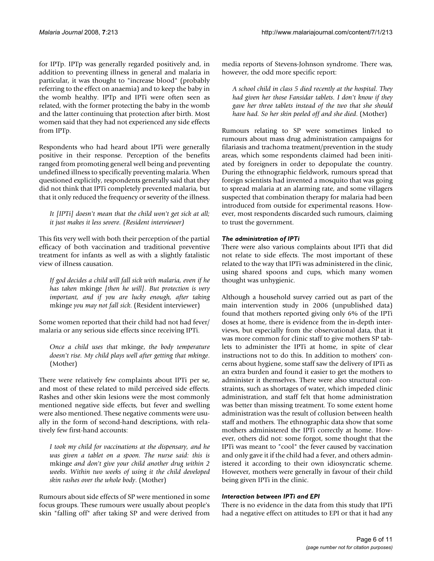for IPTp. IPTp was generally regarded positively and, in addition to preventing illness in general and malaria in particular, it was thought to "increase blood" (probably referring to the effect on anaemia) and to keep the baby in the womb healthy. IPTp and IPTi were often seen as related, with the former protecting the baby in the womb and the latter continuing that protection after birth. Most women said that they had not experienced any side effects from IPTp.

Respondents who had heard about IPTi were generally positive in their response. Perception of the benefits ranged from promoting general well being and preventing undefined illness to specifically preventing malaria. When questioned explicitly, respondents generally said that they did not think that IPTi completely prevented malaria, but that it only reduced the frequency or severity of the illness.

# *It [IPTi] doesn't mean that the child won't get sick at all; it just makes it less severe. (Resident interviewer)*

This fits very well with both their perception of the partial efficacy of both vaccination and traditional preventive treatment for infants as well as with a slightly fatalistic view of illness causation.

*If god decides a child will fall sick with malaria, even if he has taken* mkinge *[then he will]. But protection is very important, and if you are lucky enough, after taking* mkinge *you may not fall sick*. (Resident interviewer)

Some women reported that their child had not had fever/ malaria or any serious side effects since receiving IPTi.

*Once a child uses that* mkinge, *the body temperature doesn't rise. My child plays well after getting that mkinge*. (Mother)

There were relatively few complaints about IPTi per se, and most of these related to mild perceived side effects. Rashes and other skin lesions were the most commonly mentioned negative side effects, but fever and swelling were also mentioned. These negative comments were usually in the form of second-hand descriptions, with relatively few first-hand accounts:

*I took my child for vaccinations at the dispensary, and he was given a tablet on a spoon. The nurse said: this is* mkinge *and don't give your child another drug within 2 weeks. Within two weeks of using it the child developed skin rashes over the whole body*. (Mother)

Rumours about side effects of SP were mentioned in some focus groups. These rumours were usually about people's skin "falling off" after taking SP and were derived from

media reports of Stevens-Johnson syndrome. There was, however, the odd more specific report:

*A school child in class 5 died recently at the hospital. They had given her those Fansidar tablets. I don't know if they gave her three tablets instead of the two that she should have had. So her skin peeled off and she died*. (Mother)

Rumours relating to SP were sometimes linked to rumours about mass drug administration campaigns for filariasis and trachoma treatment/prevention in the study areas, which some respondents claimed had been initiated by foreigners in order to depopulate the country. During the ethnographic fieldwork, rumours spread that foreign scientists had invented a mosquito that was going to spread malaria at an alarming rate, and some villagers suspected that combination therapy for malaria had been introduced from outside for experimental reasons. However, most respondents discarded such rumours, claiming to trust the government.

# *The administration of IPTi*

There were also various complaints about IPTi that did not relate to side effects. The most important of these related to the way that IPTi was administered in the clinic, using shared spoons and cups, which many women thought was unhygienic.

Although a household survey carried out as part of the main intervention study in 2006 (unpublished data) found that mothers reported giving only 6% of the IPTi doses at home, there is evidence from the in-depth interviews, but especially from the observational data, that it was more common for clinic staff to give mothers SP tablets to administer the IPTi at home, in spite of clear instructions not to do this. In addition to mothers' concerns about hygiene, some staff saw the delivery of IPTi as an extra burden and found it easier to get the mothers to administer it themselves. There were also structural constraints, such as shortages of water, which impeded clinic administration, and staff felt that home administration was better than missing treatment. To some extent home administration was the result of collusion between health staff and mothers. The ethnographic data show that some mothers administered the IPTi correctly at home. However, others did not: some forgot, some thought that the IPTi was meant to "cool" the fever caused by vaccination and only gave it if the child had a fever, and others administered it according to their own idiosyncratic scheme. However, mothers were generally in favour of their child being given IPTi in the clinic.

# *Interaction between IPTi and EPI*

There is no evidence in the data from this study that IPTi had a negative effect on attitudes to EPI or that it had any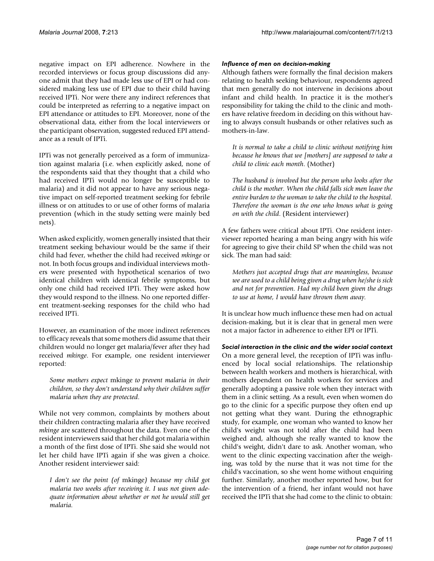negative impact on EPI adherence. Nowhere in the recorded interviews or focus group discussions did anyone admit that they had made less use of EPI or had considered making less use of EPI due to their child having received IPTi. Nor were there any indirect references that could be interpreted as referring to a negative impact on EPI attendance or attitudes to EPI. Moreover, none of the observational data, either from the local interviewers or the participant observation, suggested reduced EPI attendance as a result of IPTi.

IPTi was not generally perceived as a form of immunization against malaria (i.e. when explicitly asked, none of the respondents said that they thought that a child who had received IPTi would no longer be susceptible to malaria) and it did not appear to have any serious negative impact on self-reported treatment seeking for febrile illness or on attitudes to or use of other forms of malaria prevention (which in the study setting were mainly bed nets).

When asked explicitly, women generally insisted that their treatment seeking behaviour would be the same if their child had fever, whether the child had received *mkinge* or not. In both focus groups and individual interviews mothers were presented with hypothetical scenarios of two identical children with identical febrile symptoms, but only one child had received IPTi. They were asked how they would respond to the illness. No one reported different treatment-seeking responses for the child who had received IPTi.

However, an examination of the more indirect references to efficacy reveals that some mothers did assume that their children would no longer get malaria/fever after they had received *mkinge*. For example, one resident interviewer reported:

*Some mothers expect* mkinge *to prevent malaria in their children, so they don't understand why their children suffer malaria when they are protected*.

While not very common, complaints by mothers about their children contracting malaria after they have received *mkinge* are scattered throughout the data. Even one of the resident interviewers said that her child got malaria within a month of the first dose of IPTi. She said she would not let her child have IPTi again if she was given a choice. Another resident interviewer said:

*I don't see the point (of* mkinge*) because my child got malaria two weeks after receiving it. I was not given adequate information about whether or not he would still get malaria.*

# *Influence of men on decision-making*

Although fathers were formally the final decision makers relating to health seeking behaviour, respondents agreed that men generally do not intervene in decisions about infant and child health. In practice it is the mother's responsibility for taking the child to the clinic and mothers have relative freedom in deciding on this without having to always consult husbands or other relatives such as mothers-in-law.

*It is normal to take a child to clinic without notifying him because he knows that we [mothers] are supposed to take a child to clinic each month*. (Mother)

*The husband is involved but the person who looks after the child is the mother. When the child falls sick men leave the entire burden to the woman to take the child to the hospital. Therefore the woman is the one who knows what is going on with the child*. (Resident interviewer)

A few fathers were critical about IPTi. One resident interviewer reported hearing a man being angry with his wife for agreeing to give their child SP when the child was not sick. The man had said:

*Mothers just accepted drugs that are meaningless, because we are used to a child being given a drug when he/she is sick and not for prevention. Had my child been given the drugs to use at home, I would have thrown them away.*

It is unclear how much influence these men had on actual decision-making, but it is clear that in general men were not a major factor in adherence to either EPI or IPTi.

*Social interaction in the clinic and the wider social context*

On a more general level, the reception of IPTi was influenced by local social relationships. The relationship between health workers and mothers is hierarchical, with mothers dependent on health workers for services and generally adopting a passive role when they interact with them in a clinic setting. As a result, even when women do go to the clinic for a specific purpose they often end up not getting what they want. During the ethnographic study, for example, one woman who wanted to know her child's weight was not told after the child had been weighed and, although she really wanted to know the child's weight, didn't dare to ask. Another woman, who went to the clinic expecting vaccination after the weighing, was told by the nurse that it was not time for the child's vaccination, so she went home without enquiring further. Similarly, another mother reported how, but for the intervention of a friend, her infant would not have received the IPTi that she had come to the clinic to obtain: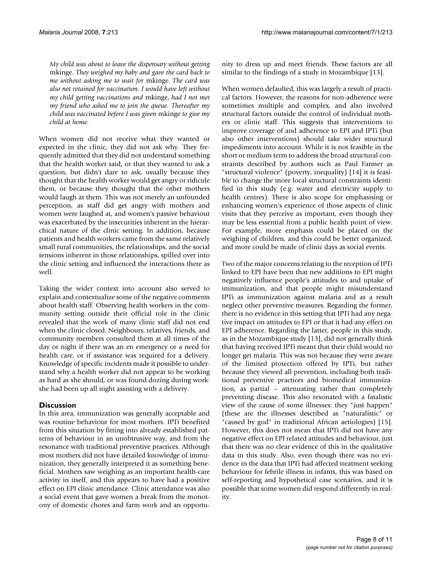*My child was about to leave the dispensary without getting* mkinge. *They weighed my baby and gave the card back to me without asking me to wait for* mkinge. *The card was also not retained for vaccination. I would have left without my child getting vaccinations and* mkinge, *had I not met my friend who asked me to join the queue. Thereafter my child was vaccinated before I was given* mkinge *to give my child at home.*

When women did not receive what they wanted or expected in the clinic, they did not ask why. They frequently admitted that they did not understand something that the health worker said, or that they wanted to ask a question, but didn't dare to ask, usually because they thought that the health worker would get angry or ridicule them, or because they thought that the other mothers would laugh at them. This was not merely an unfounded perception, as staff did get angry with mothers and women were laughed at, and women's passive behaviour was exacerbated by the insecurities inherent in the hierarchical nature of the clinic setting. In addition, because patients and health workers came from the same relatively small rural communities, the relationships, and the social tensions inherent in those relationships, spilled over into the clinic setting and influenced the interactions there as well.

Taking the wider context into account also served to explain and contextualize some of the negative comments about health staff. Observing health workers in the community setting outside their official role in the clinic revealed that the work of many clinic staff did not end when the clinic closed. Neighbours, relatives, friends, and community members consulted them at all times of the day or night if there was an en emergency or a need for health care, or if assistance was required for a delivery. Knowledge of specific incidents made it possible to understand why a health worker did not appear to be working as hard as she should, or was found dozing during work: she had been up all night assisting with a delivery.

# **Discussion**

In this area, immunization was generally acceptable and was routine behaviour for most mothers. IPTi benefited from this situation by fitting into already established patterns of behaviour in an unobtrusive way, and from the resonance with traditional preventive practices. Although most mothers did not have detailed knowledge of immunization, they generally interpreted it as something beneficial. Mothers saw weighing as an important health-care activity in itself, and this appears to have had a positive effect on EPI clinic attendance. Clinic attendance was also a social event that gave women a break from the monotony of domestic chores and farm work and an opportunity to dress up and meet friends. These factors are all similar to the findings of a study in Mozambique [13].

When women defaulted, this was largely a result of practical factors. However, the reasons for non-adherence were sometimes multiple and complex, and also involved structural factors outside the control of individual mothers or clinic staff. This suggests that interventions to improve coverage of and adherence to EPI and IPTi (but also other interventions) should take wider structural impediments into account. While it is not feasible in the short or medium term to address the broad structural constraints described by authors such as Paul Farmer as "structural violence" (poverty, inequality) [14] it is feasible to change the more local structural constraints identified in this study (e.g. water and electricity supply to health centres). There is also scope for emphasising or enhancing women's experience of those aspects of clinic visits that they perceive as important, even though they may be less essential from a public health point of view. For example, more emphasis could be placed on the weighing of children, and this could be better organized, and more could be made of clinic days as social events.

Two of the major concerns relating to the reception of IPTi linked to EPI have been that new additions to EPI might negatively influence people's attitudes to and uptake of immunization, and that people might misunderstand IPTi as immunization against malaria and as a result neglect other preventive measures. Regarding the former, there is no evidence in this setting that IPTi had any negative impact on attitudes to EPI or that it had any effect on EPI adherence. Regarding the latter, people in this study, as in the Mozambique study [13], did not generally think that having received IPTi meant that their child would no longer get malaria. This was not because they were aware of the limited protection offered by IPTi, but rather because they viewed all prevention, including both traditional preventive practices and biomedical immunization, as partial – attenuating rather than completely preventing disease. This also resonated with a fatalistic view of the cause of some illnesses: they "just happen" (these are the illnesses described as "naturalistic" or "caused by god" in traditional African aetiologies) [15]. However, this does not mean that IPTi did not have any negative effect on EPI related attitudes and behaviour, just that there was no clear evidence of this in the qualitative data in this study. Also, even though there was no evidence in the data that IPTi had affected treatment seeking behaviour for febrile illness in infants, this was based on self-reporting and hypothetical case scenarios, and it is possible that some women did respond differently in reality.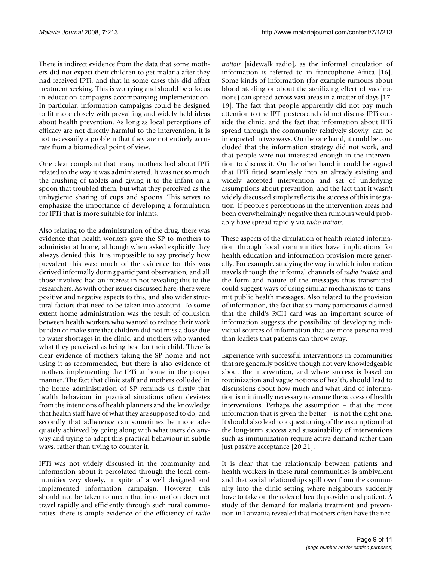There is indirect evidence from the data that some mothers did not expect their children to get malaria after they had received IPTi, and that in some cases this did affect treatment seeking. This is worrying and should be a focus in education campaigns accompanying implementation. In particular, information campaigns could be designed to fit more closely with prevailing and widely held ideas about health prevention. As long as local perceptions of efficacy are not directly harmful to the intervention, it is not necessarily a problem that they are not entirely accurate from a biomedical point of view.

One clear complaint that many mothers had about IPTi related to the way it was administered. It was not so much the crushing of tablets and giving it to the infant on a spoon that troubled them, but what they perceived as the unhygienic sharing of cups and spoons. This serves to emphasize the importance of developing a formulation for IPTi that is more suitable for infants.

Also relating to the administration of the drug, there was evidence that health workers gave the SP to mothers to administer at home, although when asked explicitly they always denied this. It is impossible to say precisely how prevalent this was: much of the evidence for this was derived informally during participant observation, and all those involved had an interest in not revealing this to the researchers. As with other issues discussed here, there were positive and negative aspects to this, and also wider structural factors that need to be taken into account. To some extent home administration was the result of collusion between health workers who wanted to reduce their work burden or make sure that children did not miss a dose due to water shortages in the clinic, and mothers who wanted what they perceived as being best for their child. There is clear evidence of mothers taking the SP home and not using it as recommended, but there is also evidence of mothers implementing the IPTi at home in the proper manner. The fact that clinic staff and mothers colluded in the home administration of SP reminds us firstly that health behaviour in practical situations often deviates from the intentions of health planners and the knowledge that health staff have of what they are supposed to do; and secondly that adherence can sometimes be more adequately achieved by going along with what users do anyway and trying to adapt this practical behaviour in subtle ways, rather than trying to counter it.

IPTi was not widely discussed in the community and information about it percolated through the local communities very slowly, in spite of a well designed and implemented information campaign. However, this should not be taken to mean that information does not travel rapidly and efficiently through such rural communities: there is ample evidence of the efficiency of *radio*

*trottoir* [sidewalk radio], as the informal circulation of information is referred to in francophone Africa [16]. Some kinds of information (for example rumours about blood stealing or about the sterilizing effect of vaccinations) can spread across vast areas in a matter of days [17- 19]. The fact that people apparently did not pay much attention to the IPTi posters and did not discuss IPTi outside the clinic, and the fact that information about IPTi spread through the community relatively slowly, can be interpreted in two ways. On the one hand, it could be concluded that the information strategy did not work, and that people were not interested enough in the intervention to discuss it. On the other hand it could be argued that IPTi fitted seamlessly into an already existing and widely accepted intervention and set of underlying assumptions about prevention, and the fact that it wasn't widely discussed simply reflects the success of this integration. If people's perceptions in the intervention areas had been overwhelmingly negative then rumours would probably have spread rapidly via *radio trottoir*.

These aspects of the circulation of health related information through local communities have implications for health education and information provision more generally. For example, studying the way in which information travels through the informal channels of *radio trottoir* and the form and nature of the messages thus transmitted could suggest ways of using similar mechanisms to transmit public health messages. Also related to the provision of information, the fact that so many participants claimed that the child's RCH card was an important source of information suggests the possibility of developing individual sources of information that are more personalized than leaflets that patients can throw away.

Experience with successful interventions in communities that are generally positive though not very knowledgeable about the intervention, and where success is based on routinization and vague notions of health, should lead to discussions about how much and what kind of information is minimally necessary to ensure the success of health interventions. Perhaps the assumption – that the more information that is given the better – is not the right one. It should also lead to a questioning of the assumption that the long-term success and sustainability of interventions such as immunization require active demand rather than just passive acceptance [20,21].

It is clear that the relationship between patients and health workers in these rural communities is ambivalent and that social relationships spill over from the community into the clinic setting where neighbours suddenly have to take on the roles of health provider and patient. A study of the demand for malaria treatment and prevention in Tanzania revealed that mothers often have the nec-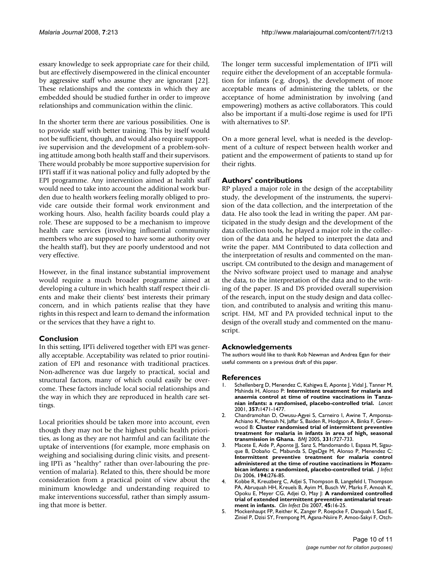essary knowledge to seek appropriate care for their child, but are effectively disempowered in the clinical encounter by aggressive staff who assume they are ignorant [22]. These relationships and the contexts in which they are embedded should be studied further in order to improve relationships and communication within the clinic.

In the shorter term there are various possibilities. One is to provide staff with better training. This by itself would not be sufficient, though, and would also require supportive supervision and the development of a problem-solving attitude among both health staff and their supervisors. There would probably be more supportive supervision for IPTi staff if it was national policy and fully adopted by the EPI programme. Any intervention aimed at health staff would need to take into account the additional work burden due to health workers feeling morally obliged to provide care outside their formal work environment and working hours. Also, health facility boards could play a role. These are supposed to be a mechanism to improve health care services (involving influential community members who are supposed to have some authority over the health staff), but they are poorly understood and not very effective.

However, in the final instance substantial improvement would require a much broader programme aimed at developing a culture in which health staff respect their clients and make their clients' best interests their primary concern, and in which patients realise that they have rights in this respect and learn to demand the information or the services that they have a right to.

# **Conclusion**

In this setting, IPTi delivered together with EPI was generally acceptable. Acceptability was related to prior routinization of EPI and resonance with traditional practices. Non-adherence was due largely to practical, social and structural factors, many of which could easily be overcome. These factors include local social relationships and the way in which they are reproduced in health care settings.

Local priorities should be taken more into account, even though they may not be the highest public health priorities, as long as they are not harmful and can facilitate the uptake of interventions (for example, more emphasis on weighing and socialising during clinic visits, and presenting IPTi as "healthy" rather than over-labouring the prevention of malaria). Related to this, there should be more consideration from a practical point of view about the minimum knowledge and understanding required to make interventions successful, rather than simply assuming that more is better.

The longer term successful implementation of IPTi will require either the development of an acceptable formulation for infants (e.g. drops), the development of more acceptable means of administering the tablets, or the acceptance of home administration by involving (and empowering) mothers as active collaborators. This could also be important if a multi-dose regime is used for IPTi with alternatives to SP.

On a more general level, what is needed is the development of a culture of respect between health worker and patient and the empowerment of patients to stand up for their rights.

# **Authors' contributions**

RP played a major role in the design of the acceptability study, the development of the instruments, the supervision of the data collection, and the interpretation of the data. He also took the lead in writing the paper. AM participated in the study design and the development of the data collection tools, he played a major role in the collection of the data and he helped to interpret the data and write the paper. MM Contributed to data collection and the interpretation of results and commented on the manuscript. CM contributed to the design and management of the Nvivo software project used to manage and analyse the data, to the interpretation of the data and to the writing of the paper. JS and DS provided overall supervision of the research, input on the study design and data collection, and contributed to analysis and writing this manuscript. HM, MT and PA provided technical input to the design of the overall study and commented on the manuscript.

# **Acknowledgements**

The authors would like to thank Rob Newman and Andrea Egan for their useful comments on a previous draft of this paper.

# **References**

- 1. Schellenberg D, Menendez C, Kahigwa E, Aponte J, Vidal J, Tanner M, Mshinda H, Alonso P: **[Intermittent treatment for malaria and](http://www.ncbi.nlm.nih.gov/entrez/query.fcgi?cmd=Retrieve&db=PubMed&dopt=Abstract&list_uids=11377597) [anaemia control at time of routine vaccinations in Tanza](http://www.ncbi.nlm.nih.gov/entrez/query.fcgi?cmd=Retrieve&db=PubMed&dopt=Abstract&list_uids=11377597)[nian infants: a randomised, placebo-controlled trial.](http://www.ncbi.nlm.nih.gov/entrez/query.fcgi?cmd=Retrieve&db=PubMed&dopt=Abstract&list_uids=11377597)** *Lancet* 2001, **357:**1471-1477.
- 2. Chandramohan D, Owusu-Agyei S, Carneiro I, Awine T, Amponsa-Achiano K, Mensah N, Jaffar S, Baiden R, Hodgson A, Binka F, Greenwood B: **[Cluster randomised trial of intermittent preventive](http://www.ncbi.nlm.nih.gov/entrez/query.fcgi?cmd=Retrieve&db=PubMed&dopt=Abstract&list_uids=16195288) [treatment for malaria in infants in area of high, seasonal](http://www.ncbi.nlm.nih.gov/entrez/query.fcgi?cmd=Retrieve&db=PubMed&dopt=Abstract&list_uids=16195288) [transmission in Ghana.](http://www.ncbi.nlm.nih.gov/entrez/query.fcgi?cmd=Retrieve&db=PubMed&dopt=Abstract&list_uids=16195288)** *BMJ* 2005, **331:**727-733.
- 3. Macete E, Aide P, Aponte JJ, Sanz S, Mandomando I, Espasa M, Sigauque B, Dobaño C, Mabunda S, DgeDge M, Alonso P, Menendez C: **[Intermittent preventive treatment for malaria control](http://www.ncbi.nlm.nih.gov/entrez/query.fcgi?cmd=Retrieve&db=PubMed&dopt=Abstract&list_uids=16826474) administered at the time of routine vaccinations in Mozam[bican infants: a randomized, placebo-controlled trial.](http://www.ncbi.nlm.nih.gov/entrez/query.fcgi?cmd=Retrieve&db=PubMed&dopt=Abstract&list_uids=16826474)** *J Infect Dis* 2006, **194:**276-85.
- 4. Kobbe R, Kreuzberg C, Adjei S, Thompson B, Langefeld I, Thompson PA, Abruquah HH, Kreuels B, Ayim M, Busch W, Marks F, Amoah K, Opoku E, Meyer CG, Adjei O, May J: **[A randomized controlled](http://www.ncbi.nlm.nih.gov/entrez/query.fcgi?cmd=Retrieve&db=PubMed&dopt=Abstract&list_uids=17554695) [trial of extended intermittent preventive antimalarial treat](http://www.ncbi.nlm.nih.gov/entrez/query.fcgi?cmd=Retrieve&db=PubMed&dopt=Abstract&list_uids=17554695)[ment in infants.](http://www.ncbi.nlm.nih.gov/entrez/query.fcgi?cmd=Retrieve&db=PubMed&dopt=Abstract&list_uids=17554695)** *Clin Infect Dis* 2007, **45:**16-25.
- 5. Mockenhaupt FP, Reither K, Zanger P, Roepcke F, Danquah I, Saad E, Ziniel P, Dzisi SY, Frempong M, Agana-Nsiire P, Amoo-Sakyi F, Otch-